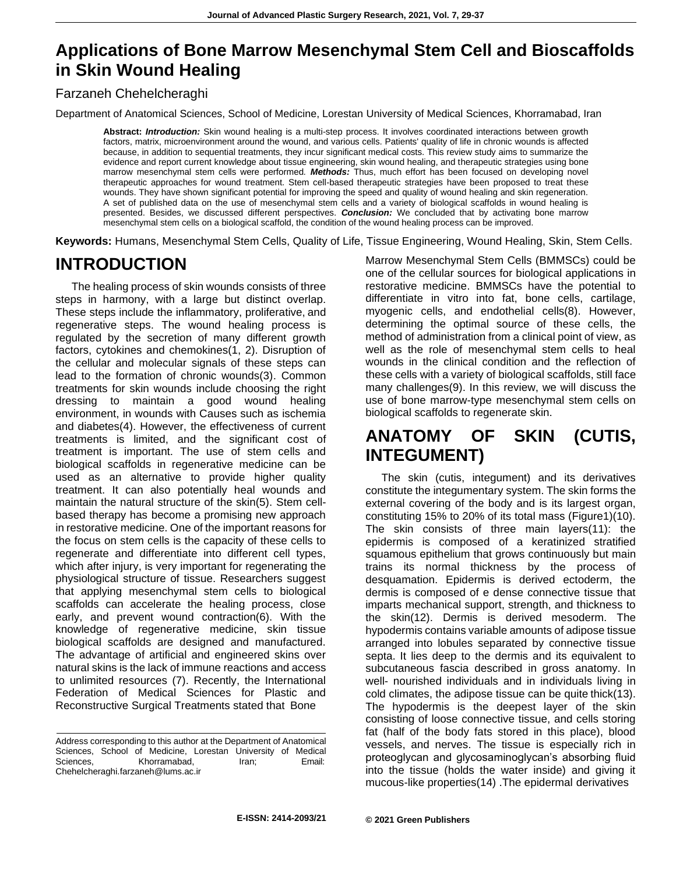### **Applications of Bone Marrow Mesenchymal Stem Cell and Bioscaffolds in Skin Wound Healing**

#### Farzaneh Chehelcheraghi

Department of Anatomical Sciences, School of Medicine, Lorestan University of Medical Sciences, Khorramabad, Iran

**Abstract:** *Introduction:* Skin wound healing is a multi-step process. It involves coordinated interactions between growth factors, matrix, microenvironment around the wound, and various cells. Patients' quality of life in chronic wounds is affected because, in addition to sequential treatments, they incur significant medical costs. This review study aims to summarize the evidence and report current knowledge about tissue engineering, skin wound healing, and therapeutic strategies using bone marrow mesenchymal stem cells were performed*. Methods:* Thus, much effort has been focused on developing novel therapeutic approaches for wound treatment. Stem cell-based therapeutic strategies have been proposed to treat these wounds. They have shown significant potential for improving the speed and quality of wound healing and skin regeneration. A set of published data on the use of mesenchymal stem cells and a variety of biological scaffolds in wound healing is presented. Besides, we discussed different perspectives. *Conclusion:* We concluded that by activating bone marrow mesenchymal stem cells on a biological scaffold, the condition of the wound healing process can be improved.

**Keywords:** Humans, Mesenchymal Stem Cells, Quality of Life, Tissue Engineering, Wound Healing, Skin, Stem Cells.

### **INTRODUCTION**

The healing process of skin wounds consists of three steps in harmony, with a large but distinct overlap. These steps include the inflammatory, proliferative, and regenerative steps. The wound healing process is regulated by the secretion of many different growth factors, cytokines and chemokines(1, 2). Disruption of the cellular and molecular signals of these steps can lead to the formation of chronic wounds(3). Common treatments for skin wounds include choosing the right dressing to maintain a good wound healing environment, in wounds with Causes such as ischemia and diabetes(4). However, the effectiveness of current treatments is limited, and the significant cost of treatment is important. The use of stem cells and biological scaffolds in regenerative medicine can be used as an alternative to provide higher quality treatment. It can also potentially heal wounds and maintain the natural structure of the skin(5). Stem cellbased therapy has become a promising new approach in restorative medicine. One of the important reasons for the focus on stem cells is the capacity of these cells to regenerate and differentiate into different cell types, which after injury, is very important for regenerating the physiological structure of tissue. Researchers suggest that applying mesenchymal stem cells to biological scaffolds can accelerate the healing process, close early, and prevent wound contraction(6). With the knowledge of regenerative medicine, skin tissue biological scaffolds are designed and manufactured. The advantage of artificial and engineered skins over natural skins is the lack of immune reactions and access to unlimited resources (7). Recently, the International Federation of Medical Sciences for Plastic and Reconstructive Surgical Treatments stated that Bone

Marrow Mesenchymal Stem Cells (BMMSCs) could be one of the cellular sources for biological applications in restorative medicine. BMMSCs have the potential to differentiate in vitro into fat, bone cells, cartilage, myogenic cells, and endothelial cells(8). However, determining the optimal source of these cells, the method of administration from a clinical point of view, as well as the role of mesenchymal stem cells to heal wounds in the clinical condition and the reflection of these cells with a variety of biological scaffolds, still face many challenges(9). In this review, we will discuss the use of bone marrow-type mesenchymal stem cells on biological scaffolds to regenerate skin.

#### **ANATOMY OF SKIN (CUTIS, INTEGUMENT)**

The skin (cutis, integument) and its derivatives constitute the integumentary system. The skin forms the external covering of the body and is its largest organ, constituting 15% to 20% of its total mass (Figure1)(10). The skin consists of three main layers(11): the epidermis is composed of a keratinized stratified squamous epithelium that grows continuously but main trains its normal thickness by the process of desquamation. Epidermis is derived ectoderm, the dermis is composed of e dense connective tissue that imparts mechanical support, strength, and thickness to the skin(12). Dermis is derived mesoderm. The hypodermis contains variable amounts of adipose tissue arranged into lobules separated by connective tissue septa. It lies deep to the dermis and its equivalent to subcutaneous fascia described in gross anatomy. In well- nourished individuals and in individuals living in cold climates, the adipose tissue can be quite thick(13). The hypodermis is the deepest layer of the skin consisting of loose connective tissue, and cells storing fat (half of the body fats stored in this place), blood vessels, and nerves. The tissue is especially rich in proteoglycan and glycosaminoglycan's absorbing fluid into the tissue (holds the water inside) and giving it mucous-like properties(14) .The epidermal derivatives

Address corresponding to this author at the Department of Anatomical Sciences, School of Medicine, Lorestan University of Medical Sciences, Khorramabad, Iran; Email: [Chehelcheraghi.farzaneh@lums.ac.ir](mailto:Chehelcheraghi.farzaneh@lums.ac.ir)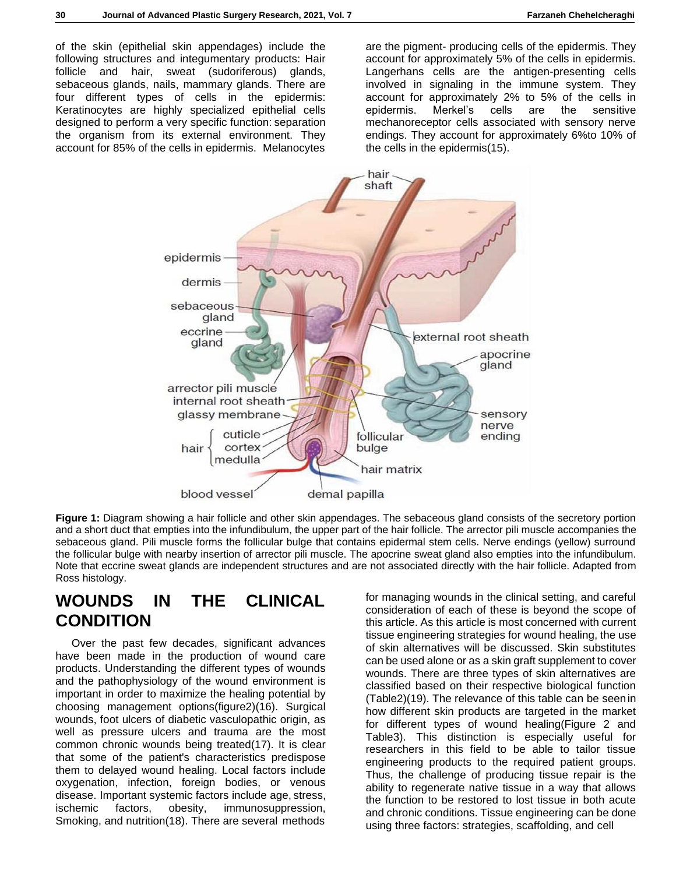of the skin (epithelial skin appendages) include the following structures and integumentary products: Hair follicle and hair, sweat (sudoriferous) glands, sebaceous glands, nails, mammary glands. There are four different types of cells in the epidermis: Keratinocytes are highly specialized epithelial cells designed to perform a very specific function: separation the organism from its external environment. They account for 85% of the cells in epidermis. Melanocytes

are the pigment- producing cells of the epidermis. They account for approximately 5% of the cells in epidermis. Langerhans cells are the antigen-presenting cells involved in signaling in the immune system. They account for approximately 2% to 5% of the cells in epidermis. Merkel's cells are the sensitive mechanoreceptor cells associated with sensory nerve endings. They account for approximately 6%to 10% of the cells in the epidermis(15).



**Figure 1:** Diagram showing a hair follicle and other skin appendages. The sebaceous gland consists of the secretory portion and a short duct that empties into the infundibulum, the upper part of the hair follicle. The arrector pili muscle accompanies the sebaceous gland. Pili muscle forms the follicular bulge that contains epidermal stem cells. Nerve endings (yellow) surround the follicular bulge with nearby insertion of arrector pili muscle. The apocrine sweat gland also empties into the infundibulum. Note that eccrine sweat glands are independent structures and are not associated directly with the hair follicle. Adapted from Ross histology.

### **WOUNDS IN THE CLINICAL CONDITION**

Over the past few decades, significant advances have been made in the production of wound care products. Understanding the different types of wounds and the pathophysiology of the wound environment is important in order to maximize the healing potential by choosing management options(figure2)(16). Surgical wounds, foot ulcers of diabetic vasculopathic origin, as well as pressure ulcers and trauma are the most common chronic wounds being treated(17). It is clear that some of the patient's characteristics predispose them to delayed wound healing. Local factors include oxygenation, infection, foreign bodies, or venous disease. Important systemic factors include age, stress, ischemic factors, obesity, immunosuppression, Smoking, and nutrition(18). There are several methods

for managing wounds in the clinical setting, and careful consideration of each of these is beyond the scope of this article. As this article is most concerned with current tissue engineering strategies for wound healing, the use of skin alternatives will be discussed. Skin substitutes can be used alone or as a skin graft supplement to cover wounds. There are three types of skin alternatives are classified based on their respective biological function (Table2)(19). The relevance of this table can be seenin how different skin products are targeted in the market for different types of wound healing(Figure 2 and Table3). This distinction is especially useful for researchers in this field to be able to tailor tissue engineering products to the required patient groups. Thus, the challenge of producing tissue repair is the ability to regenerate native tissue in a way that allows the function to be restored to lost tissue in both acute and chronic conditions. Tissue engineering can be done using three factors: strategies, scaffolding, and cell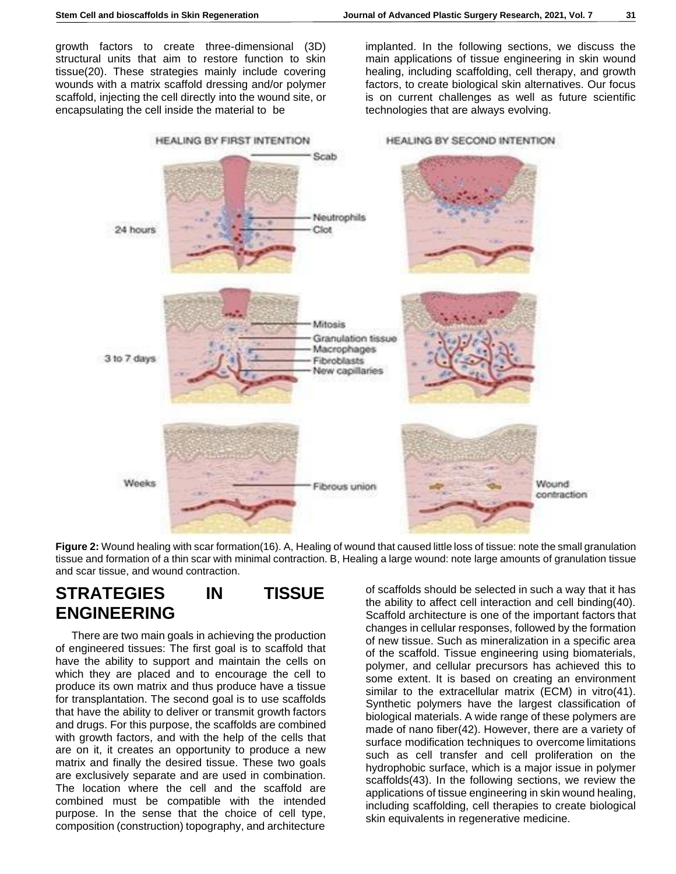growth factors to create three-dimensional (3D) structural units that aim to restore function to skin tissue(20). These strategies mainly include covering wounds with a matrix scaffold dressing and/or polymer scaffold, injecting the cell directly into the wound site, or encapsulating the cell inside the material to be

implanted. In the following sections, we discuss the main applications of tissue engineering in skin wound healing, including scaffolding, cell therapy, and growth factors, to create biological skin alternatives. Our focus is on current challenges as well as future scientific technologies that are always evolving.



**Figure 2:** Wound healing with scar formation(16). A, Healing of wound that caused little loss of tissue: note the small granulation tissue and formation of a thin scar with minimal contraction. B, Healing a large wound: note large amounts of granulation tissue and scar tissue, and wound contraction.

### **STRATEGIES IN TISSUE ENGINEERING**

There are two main goals in achieving the production of engineered tissues: The first goal is to scaffold that have the ability to support and maintain the cells on which they are placed and to encourage the cell to produce its own matrix and thus produce have a tissue for transplantation. The second goal is to use scaffolds that have the ability to deliver or transmit growth factors and drugs. For this purpose, the scaffolds are combined with growth factors, and with the help of the cells that are on it, it creates an opportunity to produce a new matrix and finally the desired tissue. These two goals are exclusively separate and are used in combination. The location where the cell and the scaffold are combined must be compatible with the intended purpose. In the sense that the choice of cell type, composition (construction) topography, and architecture

of scaffolds should be selected in such a way that it has the ability to affect cell interaction and cell binding(40). Scaffold architecture is one of the important factors that changes in cellular responses, followed by the formation of new tissue. Such as mineralization in a specific area of the scaffold. Tissue engineering using biomaterials, polymer, and cellular precursors has achieved this to some extent. It is based on creating an environment similar to the extracellular matrix (ECM) in vitro(41). Synthetic polymers have the largest classification of biological materials. A wide range of these polymers are made of nano fiber(42). However, there are a variety of surface modification techniques to overcome limitations such as cell transfer and cell proliferation on the hydrophobic surface, which is a major issue in polymer scaffolds(43). In the following sections, we review the applications of tissue engineering in skin wound healing, including scaffolding, cell therapies to create biological skin equivalents in regenerative medicine.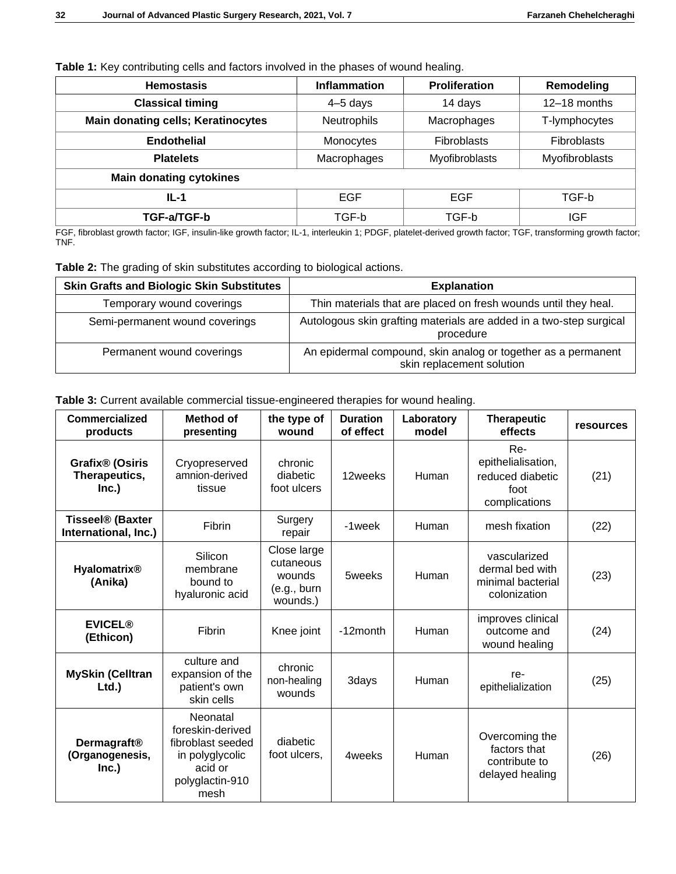|  | Table 1: Key contributing cells and factors involved in the phases of wound healing. |  |  |  |  |
|--|--------------------------------------------------------------------------------------|--|--|--|--|
|  |                                                                                      |  |  |  |  |

| <b>Hemostasis</b>                         | <b>Inflammation</b> | <b>Proliferation</b> | Remodeling         |  |  |
|-------------------------------------------|---------------------|----------------------|--------------------|--|--|
| <b>Classical timing</b>                   | 4-5 days            | 14 days              | 12-18 months       |  |  |
| <b>Main donating cells; Keratinocytes</b> | Neutrophils         | Macrophages          | T-lymphocytes      |  |  |
| <b>Endothelial</b>                        | Monocytes           | Fibroblasts          | <b>Fibroblasts</b> |  |  |
| <b>Platelets</b>                          | Macrophages         | Myofibroblasts       | Myofibroblasts     |  |  |
| <b>Main donating cytokines</b>            |                     |                      |                    |  |  |
| $IL-1$                                    | <b>EGF</b>          | <b>EGF</b>           | TGF-b              |  |  |
| TGF-a/TGF-b                               | TGF-b               | TGF-b                | <b>IGF</b>         |  |  |

FGF, fibroblast growth factor; IGF, insulin-like growth factor; IL-1, interleukin 1; PDGF, platelet-derived growth factor; TGF, transforming growth factor; TNF.

**Table 2:** The grading of skin substitutes according to biological actions.

| <b>Skin Grafts and Biologic Skin Substitutes</b> | <b>Explanation</b>                                                                         |
|--------------------------------------------------|--------------------------------------------------------------------------------------------|
| Temporary wound coverings                        | Thin materials that are placed on fresh wounds until they heal.                            |
| Semi-permanent wound coverings                   | Autologous skin grafting materials are added in a two-step surgical<br>procedure           |
| Permanent wound coverings                        | An epidermal compound, skin analog or together as a permanent<br>skin replacement solution |

**Table 3:** Current available commercial tissue-engineered therapies for wound healing.

| <b>Commercialized</b><br>products                     | Method of<br>presenting                                                                                    | the type of<br>wound                                          | <b>Duration</b><br>of effect | Laboratory<br>model | <b>Therapeutic</b><br>effects                                          | <b>resources</b> |
|-------------------------------------------------------|------------------------------------------------------------------------------------------------------------|---------------------------------------------------------------|------------------------------|---------------------|------------------------------------------------------------------------|------------------|
| Grafix <sup>®</sup> (Osiris<br>Therapeutics,<br>Inc.) | Cryopreserved<br>amnion-derived<br>tissue                                                                  | chronic<br>diabetic<br>foot ulcers                            | 12weeks                      | Human               | Re-<br>epithelialisation,<br>reduced diabetic<br>foot<br>complications | (21)             |
| <b>Tisseel® (Baxter</b><br>International, Inc.)       | <b>Fibrin</b>                                                                                              | Surgery<br>repair                                             | -1week                       | Human               | mesh fixation                                                          | (22)             |
| Hyalomatrix <sup>®</sup><br>(Anika)                   | Silicon<br>membrane<br>bound to<br>hyaluronic acid                                                         | Close large<br>cutaneous<br>wounds<br>(e.g., burn<br>wounds.) | 5weeks                       | Human               | vascularized<br>dermal bed with<br>minimal bacterial<br>colonization   | (23)             |
| <b>EVICEL®</b><br>(Ethicon)                           | <b>Fibrin</b>                                                                                              | Knee joint                                                    | -12month                     | Human               | improves clinical<br>outcome and<br>wound healing                      | (24)             |
| <b>MySkin (Celltran</b><br>Ltd.)                      | culture and<br>expansion of the<br>patient's own<br>skin cells                                             | chronic<br>non-healing<br>wounds                              | 3days                        | Human               | re-<br>epithelialization                                               | (25)             |
| Dermagraft <sup>®</sup><br>(Organogenesis,<br>Inc.)   | Neonatal<br>foreskin-derived<br>fibroblast seeded<br>in polyglycolic<br>acid or<br>polyglactin-910<br>mesh | diabetic<br>foot ulcers,                                      | 4weeks                       | Human               | Overcoming the<br>factors that<br>contribute to<br>delayed healing     | (26)             |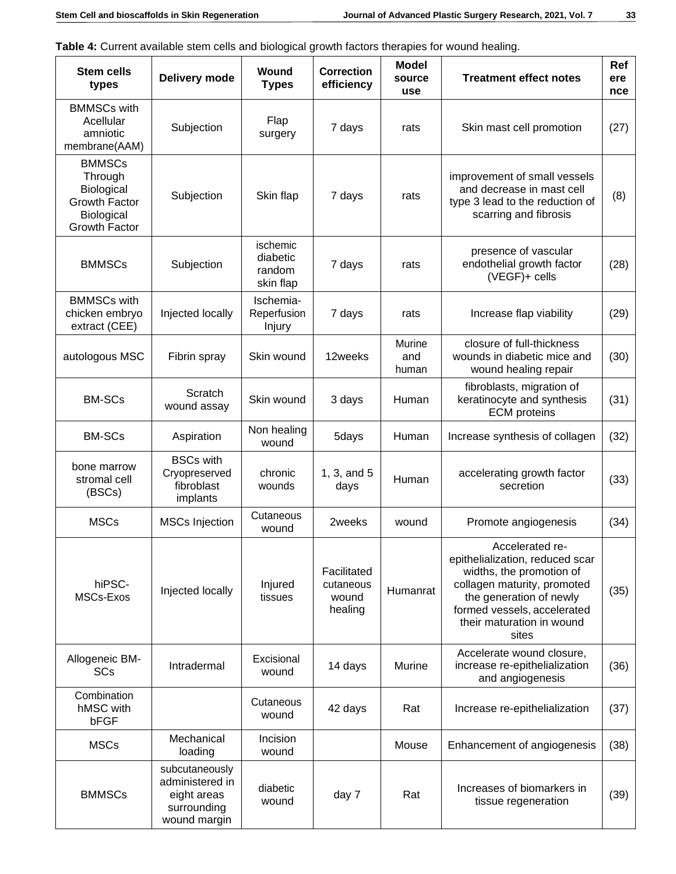**Table 4:** Current available stem cells and biological growth factors therapies for wound healing.

| <b>Stem cells</b><br>types                                                             | Delivery mode                                                                   | Wound<br><b>Types</b>                       | <b>Correction</b><br>efficiency              | <b>Model</b><br>source<br>use | <b>Treatment effect notes</b>                                                                                                                                                                                 | Ref<br>ere<br>nce |
|----------------------------------------------------------------------------------------|---------------------------------------------------------------------------------|---------------------------------------------|----------------------------------------------|-------------------------------|---------------------------------------------------------------------------------------------------------------------------------------------------------------------------------------------------------------|-------------------|
| <b>BMMSCs with</b><br>Acellular<br>amniotic<br>membrane(AAM)                           | Subjection                                                                      | Flap<br>surgery                             | 7 days                                       | rats                          | Skin mast cell promotion                                                                                                                                                                                      | (27)              |
| <b>BMMSCs</b><br>Through<br>Biological<br>Growth Factor<br>Biological<br>Growth Factor | Subjection                                                                      | Skin flap                                   | 7 days                                       | rats                          | improvement of small vessels<br>and decrease in mast cell<br>type 3 lead to the reduction of<br>scarring and fibrosis                                                                                         | (8)               |
| <b>BMMSCs</b>                                                                          | Subjection                                                                      | ischemic<br>diabetic<br>random<br>skin flap | 7 days                                       | rats                          | presence of vascular<br>endothelial growth factor<br>(VEGF)+ cells                                                                                                                                            | (28)              |
| <b>BMMSCs with</b><br>chicken embryo<br>extract (CEE)                                  | Injected locally                                                                | Ischemia-<br>Reperfusion<br>Injury          | 7 days                                       | rats                          | Increase flap viability                                                                                                                                                                                       | (29)              |
| autologous MSC                                                                         | Fibrin spray                                                                    | Skin wound                                  | 12weeks                                      | <b>Murine</b><br>and<br>human | closure of full-thickness<br>wounds in diabetic mice and<br>wound healing repair                                                                                                                              | (30)              |
| <b>BM-SCs</b>                                                                          | Scratch<br>wound assay                                                          | Skin wound                                  | 3 days                                       | Human                         | fibroblasts, migration of<br>keratinocyte and synthesis<br><b>ECM</b> proteins                                                                                                                                | (31)              |
| <b>BM-SCs</b>                                                                          | Aspiration                                                                      | Non healing<br>wound                        | 5days                                        | Human                         | Increase synthesis of collagen                                                                                                                                                                                | (32)              |
| bone marrow<br>stromal cell<br>(BSCs)                                                  | <b>BSCs with</b><br>Cryopreserved<br>fibroblast<br>implants                     | chronic<br>wounds                           | 1, 3, and 5<br>days                          | Human                         | accelerating growth factor<br>secretion                                                                                                                                                                       | (33)              |
| <b>MSCs</b>                                                                            | <b>MSCs Injection</b>                                                           | Cutaneous<br>wound                          | 2weeks                                       | wound                         | Promote angiogenesis                                                                                                                                                                                          | (34)              |
| hiPSC-<br>MSCs-Exos                                                                    | Injected locally                                                                | Injured<br>tissues                          | Facilitated<br>cutaneous<br>wound<br>healing | Humanrat                      | Accelerated re-<br>epithelialization, reduced scar<br>widths, the promotion of<br>collagen maturity, promoted<br>the generation of newly<br>formed vessels, accelerated<br>their maturation in wound<br>sites | (35)              |
| Allogeneic BM-<br>SCs                                                                  | Intradermal                                                                     | Excisional<br>wound                         | 14 days                                      | Murine                        | Accelerate wound closure,<br>increase re-epithelialization<br>and angiogenesis                                                                                                                                | (36)              |
| Combination<br>hMSC with<br>bFGF                                                       |                                                                                 | Cutaneous<br>wound                          | 42 days                                      | Rat                           | Increase re-epithelialization                                                                                                                                                                                 | (37)              |
| <b>MSCs</b>                                                                            | Mechanical<br>loading                                                           | Incision<br>wound                           |                                              | Mouse                         | Enhancement of angiogenesis                                                                                                                                                                                   | (38)              |
| <b>BMMSCs</b>                                                                          | subcutaneously<br>administered in<br>eight areas<br>surrounding<br>wound margin | diabetic<br>wound                           | day 7                                        | Rat                           | Increases of biomarkers in<br>tissue regeneration                                                                                                                                                             | (39)              |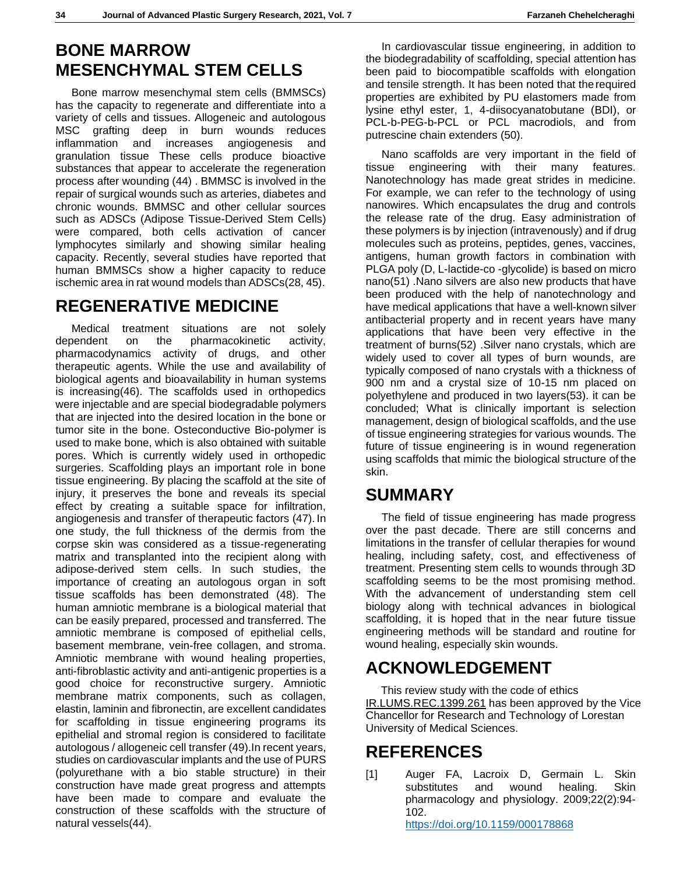### **BONE MARROW MESENCHYMAL STEM CELLS**

Bone marrow mesenchymal stem cells (BMMSCs) has the capacity to regenerate and differentiate into a variety of cells and tissues. Allogeneic and autologous MSC grafting deep in burn wounds reduces inflammation and increases angiogenesis and granulation tissue These cells produce bioactive substances that appear to accelerate the regeneration process after wounding (44) . BMMSC is involved in the repair of surgical wounds such as arteries, diabetes and chronic wounds. BMMSC and other cellular sources such as ADSCs (Adipose Tissue-Derived Stem Cells) were compared, both cells activation of cancer lymphocytes similarly and showing similar healing capacity. Recently, several studies have reported that human BMMSCs show a higher capacity to reduce ischemic area in rat wound models than ADSCs(28, 45).

### **REGENERATIVE MEDICINE**

Medical treatment situations are not solely dependent on the pharmacokinetic activity, pharmacodynamics activity of drugs, and other therapeutic agents. While the use and availability of biological agents and bioavailability in human systems is increasing(46). The scaffolds used in orthopedics were injectable and are special biodegradable polymers that are injected into the desired location in the bone or tumor site in the bone. Osteconductive Bio-polymer is used to make bone, which is also obtained with suitable pores. Which is currently widely used in orthopedic surgeries. Scaffolding plays an important role in bone tissue engineering. By placing the scaffold at the site of injury, it preserves the bone and reveals its special effect by creating a suitable space for infiltration, angiogenesis and transfer of therapeutic factors (47). In one study, the full thickness of the dermis from the corpse skin was considered as a tissue-regenerating matrix and transplanted into the recipient along with adipose-derived stem cells. In such studies, the importance of creating an autologous organ in soft tissue scaffolds has been demonstrated (48). The human amniotic membrane is a biological material that can be easily prepared, processed and transferred. The amniotic membrane is composed of epithelial cells, basement membrane, vein-free collagen, and stroma. Amniotic membrane with wound healing properties, anti-fibroblastic activity and anti-antigenic properties is a good choice for reconstructive surgery. Amniotic membrane matrix components, such as collagen, elastin, laminin and fibronectin, are excellent candidates for scaffolding in tissue engineering programs its epithelial and stromal region is considered to facilitate autologous / allogeneic cell transfer (49).In recent years, studies on cardiovascular implants and the use of PURS (polyurethane with a bio stable structure) in their construction have made great progress and attempts have been made to compare and evaluate the construction of these scaffolds with the structure of natural vessels(44).

In cardiovascular tissue engineering, in addition to the biodegradability of scaffolding, special attention has been paid to biocompatible scaffolds with elongation and tensile strength. It has been noted that therequired properties are exhibited by PU elastomers made from lysine ethyl ester, 1, 4-diisocyanatobutane (BDI), or PCL-b-PEG-b-PCL or PCL macrodiols, and from putrescine chain extenders (50).

Nano scaffolds are very important in the field of tissue engineering with their many features. Nanotechnology has made great strides in medicine. For example, we can refer to the technology of using nanowires. Which encapsulates the drug and controls the release rate of the drug. Easy administration of these polymers is by injection (intravenously) and if drug molecules such as proteins, peptides, genes, vaccines, antigens, human growth factors in combination with PLGA poly (D, L-lactide-co -glycolide) is based on micro nano(51) .Nano silvers are also new products that have been produced with the help of nanotechnology and have medical applications that have a well-known silver antibacterial property and in recent years have many applications that have been very effective in the treatment of burns(52) .Silver nano crystals, which are widely used to cover all types of burn wounds, are typically composed of nano crystals with a thickness of 900 nm and a crystal size of 10-15 nm placed on polyethylene and produced in two layers(53). it can be concluded; What is clinically important is selection management, design of biological scaffolds, and the use of tissue engineering strategies for various wounds. The future of tissue engineering is in wound regeneration using scaffolds that mimic the biological structure of the skin.

### **SUMMARY**

The field of tissue engineering has made progress over the past decade. There are still concerns and limitations in the transfer of cellular therapies for wound healing, including safety, cost, and effectiveness of treatment. Presenting stem cells to wounds through 3D scaffolding seems to be the most promising method. With the advancement of understanding stem cell biology along with technical advances in biological scaffolding, it is hoped that in the near future tissue engineering methods will be standard and routine for wound healing, especially skin wounds.

# **ACKNOWLEDGEMENT**

 This review study with the code of ethics IR.LUMS.REC.1399.261 has been approved by the Vice Chancellor for Research and Technology of Lorestan University of Medical Sciences.

## **REFERENCES**

[1] Auger FA, Lacroix D, Germain L. Skin substitutes and wound healing. Skin pharmacology and physiology. 2009;22(2):94- 102.

<https://doi.org/10.1159/000178868>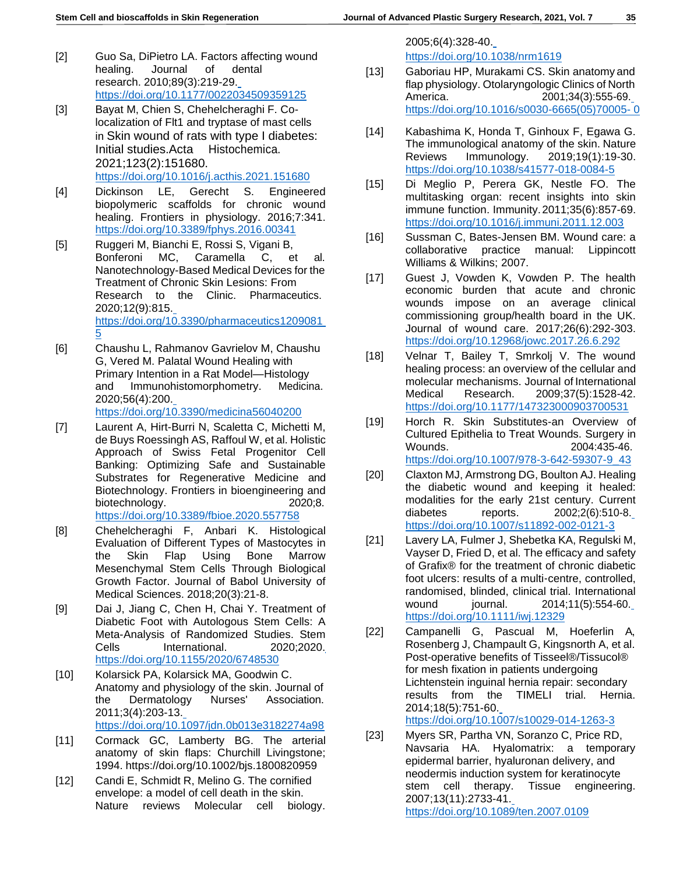- [2] Guo Sa, DiPietro LA. Factors affecting wound healing. Journal of dental research. 2010;89(3):219-29. <https://doi.org/10.1177/0022034509359125>
- [3] Bayat M, Chien S, Chehelcheraghi F. Colocalization of Flt1 and tryptase of mast cells in Skin wound of rats with type I diabetes: Initial studies.Acta Histochemica. 2021;123(2):151680. <https://doi.org/10.1016/j.acthis.2021.151680>
- [4] Dickinson LE, Gerecht S. Engineered biopolymeric scaffolds for chronic wound healing. Frontiers in physiology. 2016;7:341. <https://doi.org/10.3389/fphys.2016.00341>
- [5] Ruggeri M, Bianchi E, Rossi S, Vigani B, Bonferoni MC, Caramella C, et al. Nanotechnology-Based Medical Devices for the Treatment of Chronic Skin Lesions: From Research to the Clinic. Pharmaceutics. 2020;12(9):815. [https://doi.org/10.3390/pharmaceutics1209081](https://doi.org/10.3390/pharmaceutics12090815) [5](https://doi.org/10.3390/pharmaceutics12090815)
- [6] Chaushu L, Rahmanov Gavrielov M, Chaushu G, Vered M. Palatal Wound Healing with Primary Intention in a Rat Model—Histology and Immunohistomorphometry. Medicina. 2020;56(4):200. <https://doi.org/10.3390/medicina56040200>
- [7] Laurent A, Hirt-Burri N, Scaletta C, Michetti M, de Buys Roessingh AS, Raffoul W, et al. Holistic Approach of Swiss Fetal Progenitor Cell Banking: Optimizing Safe and Sustainable Substrates for Regenerative Medicine and Biotechnology. Frontiers in bioengineering and biotechnology. 2020;8. <https://doi.org/10.3389/fbioe.2020.557758>
- [8] Chehelcheraghi F, Anbari K. Histological Evaluation of Different Types of Mastocytes in the Skin Flap Using Bone Marrow Mesenchymal Stem Cells Through Biological Growth Factor. Journal of Babol University of Medical Sciences. 2018;20(3):21-8.
- [9] Dai J, Jiang C, Chen H, Chai Y. Treatment of Diabetic Foot with Autologous Stem Cells: A Meta-Analysis of Randomized Studies. Stem Cells International. 2020;2020. <https://doi.org/10.1155/2020/6748530>
- [10] Kolarsick PA, Kolarsick MA, Goodwin C. Anatomy and physiology of the skin. Journal of the Dermatology Nurses' Association. 2011;3(4):203-13. <https://doi.org/10.1097/jdn.0b013e3182274a98>
- [11] Cormack GC, Lamberty BG. The arterial anatomy of skin flaps: Churchill Livingstone; 1994. https://doi.org/10.1002/bjs.1800820959
- [12] Candi E, Schmidt R, Melino G. The cornified envelope: a model of cell death in the skin. Nature reviews Molecular cell biology.

2005;6(4):328-40.

<https://doi.org/10.1038/nrm1619>

- [13] Gaboriau HP, Murakami CS. Skin anatomy and flap physiology. Otolaryngologic Clinics of North America. 2001;34(3):555-69. [https://doi.org/10.1016/s0030-6665\(05\)70005-](https://doi.org/10.1016/s0030-6665(05)70005-0) [0](https://doi.org/10.1016/s0030-6665(05)70005-0)
- [14] Kabashima K, Honda T, Ginhoux F, Egawa G. The immunological anatomy of the skin. Nature Reviews Immunology. 2019;19(1):19-30. <https://doi.org/10.1038/s41577-018-0084-5>
- [15] Di Meglio P, Perera GK, Nestle FO. The multitasking organ: recent insights into skin immune function. Immunity.2011;35(6):857-69. <https://doi.org/10.1016/j.immuni.2011.12.003>
- [16] Sussman C, Bates-Jensen BM. Wound care: a collaborative practice manual: Lippincott Williams & Wilkins; 2007.
- [17] Guest J, Vowden K, Vowden P. The health economic burden that acute and chronic wounds impose on an average clinical commissioning group/health board in the UK. Journal of wound care. 2017;26(6):292-303. <https://doi.org/10.12968/jowc.2017.26.6.292>
- [18] Velnar T, Bailey T, Smrkolj V. The wound healing process: an overview of the cellular and molecular mechanisms. Journal of International Medical Research. 2009;37(5):1528-42. <https://doi.org/10.1177/147323000903700531>
- [19] Horch R. Skin Substitutes-an Overview of Cultured Epithelia to Treat Wounds. Surgery in Wounds. 2004:435-46. [https://doi.org/10.1007/978-3-642-59307-9\\_43](https://doi.org/10.1007/978-3-642-59307-9_43)
- [20] Claxton MJ, Armstrong DG, Boulton AJ. Healing the diabetic wound and keeping it healed: modalities for the early 21st century. Current diabetes reports. 2002;2(6):510-8. <https://doi.org/10.1007/s11892-002-0121-3>
- [21] Lavery LA, Fulmer J, Shebetka KA, Regulski M, Vayser D, Fried D, et al. The efficacy and safety of Grafix® for the treatment of chronic diabetic foot ulcers: results of a multi‐centre, controlled, randomised, blinded, clinical trial. International wound journal. 2014;11(5):554-60. <https://doi.org/10.1111/iwj.12329>
- [22] Campanelli G, Pascual M, Hoeferlin A, Rosenberg J, Champault G, Kingsnorth A, et al. Post-operative benefits of Tisseel®/Tissucol® for mesh fixation in patients undergoing Lichtenstein inguinal hernia repair: secondary results from the TIMELI trial. Hernia. 2014;18(5):751-60.

<https://doi.org/10.1007/s10029-014-1263-3>

[23] Myers SR, Partha VN, Soranzo C, Price RD, Navsaria HA. Hyalomatrix: a temporary epidermal barrier, hyaluronan delivery, and neodermis induction system for keratinocyte stem cell therapy. Tissue engineering. 2007;13(11):2733-41. <https://doi.org/10.1089/ten.2007.0109>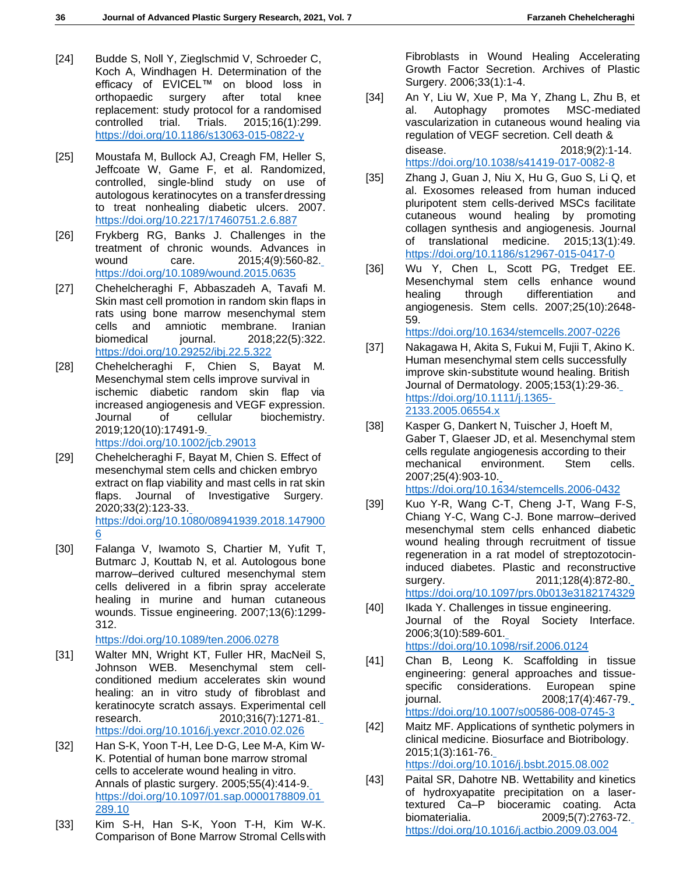- [24] Budde S, Noll Y, Zieglschmid V, Schroeder C, Koch A, Windhagen H. Determination of the efficacy of EVICEL™ on blood loss in orthopaedic surgery after total knee replacement: study protocol for a randomised controlled trial. Trials. 2015;16(1):299. <https://doi.org/10.1186/s13063-015-0822-y>
- [25] Moustafa M, Bullock AJ, Creagh FM, Heller S, Jeffcoate W, Game F, et al. Randomized, controlled, single-blind study on use of autologous keratinocytes on a transferdressing to treat nonhealing diabetic ulcers. 2007. <https://doi.org/10.2217/17460751.2.6.887>
- [26] Frykberg RG, Banks J. Challenges in the treatment of chronic wounds. Advances in wound care. 2015;4(9):560-82. <https://doi.org/10.1089/wound.2015.0635>
- [27] Chehelcheraghi F, Abbaszadeh A, Tavafi M. Skin mast cell promotion in random skin flaps in rats using bone marrow mesenchymal stem cells and amniotic membrane. Iranian biomedical journal. 2018;22(5):322. <https://doi.org/10.29252/ibj.22.5.322>
- [28] Chehelcheraghi F, Chien S, Bayat M. Mesenchymal stem cells improve survival in ischemic diabetic random skin flap via increased angiogenesis and VEGF expression. Journal of cellular biochemistry. 2019;120(10):17491-9.

<https://doi.org/10.1002/jcb.29013>

- [29] Chehelcheraghi F, Bayat M, Chien S. Effect of mesenchymal stem cells and chicken embryo extract on flap viability and mast cells in rat skin flaps. Journal of Investigative Surgery. 2020;33(2):123-33. [https://doi.org/10.1080/08941939.2018.147900](https://doi.org/10.1080/08941939.2018.1479006) [6](https://doi.org/10.1080/08941939.2018.1479006)
- [30] Falanga V, Iwamoto S, Chartier M, Yufit T, Butmarc J, Kouttab N, et al. Autologous bone marrow–derived cultured mesenchymal stem cells delivered in a fibrin spray accelerate healing in murine and human cutaneous wounds. Tissue engineering. 2007;13(6):1299- 312.

<https://doi.org/10.1089/ten.2006.0278>

- [31] Walter MN, Wright KT, Fuller HR, MacNeil S, Johnson WEB. Mesenchymal stem cellconditioned medium accelerates skin wound healing: an in vitro study of fibroblast and keratinocyte scratch assays. Experimental cell research. 2010;316(7):1271-81. <https://doi.org/10.1016/j.yexcr.2010.02.026>
- [32] Han S-K, Yoon T-H, Lee D-G, Lee M-A, Kim W-K. Potential of human bone marrow stromal cells to accelerate wound healing in vitro. Annals of plastic surgery. 2005;55(4):414-9. [https://doi.org/10.1097/01.sap.0000178809.01](https://doi.org/10.1097/01.sap.0000178809.01289.10) [289.10](https://doi.org/10.1097/01.sap.0000178809.01289.10)
- [33] Kim S-H, Han S-K, Yoon T-H, Kim W-K. Comparison of Bone Marrow Stromal Cellswith

Fibroblasts in Wound Healing Accelerating Growth Factor Secretion. Archives of Plastic Surgery. 2006;33(1):1-4.

[34] An Y, Liu W, Xue P, Ma Y, Zhang L, Zhu B, et al. Autophagy promotes MSC-mediated vascularization in cutaneous wound healing via regulation of VEGF secretion. Cell death & disease. 2018;9(2):1-14. <https://doi.org/10.1038/s41419-017-0082-8>

[35] Zhang J, Guan J, Niu X, Hu G, Guo S, Li Q, et al. Exosomes released from human induced pluripotent stem cells-derived MSCs facilitate

- cutaneous wound healing by promoting collagen synthesis and angiogenesis. Journal of translational medicine. 2015;13(1):49. <https://doi.org/10.1186/s12967-015-0417-0>
- [36] Wu Y, Chen L, Scott PG, Tredget EE. Mesenchymal stem cells enhance wound healing through differentiation and angiogenesis. Stem cells. 2007;25(10):2648- 59.

<https://doi.org/10.1634/stemcells.2007-0226>

- [37] Nakagawa H, Akita S, Fukui M, Fujii T, Akino K. Human mesenchymal stem cells successfully improve skin‐substitute wound healing. British Journal of Dermatology. 2005;153(1):29-36. [https://doi.org/10.1111/j.1365-](https://doi.org/10.1111/j.1365-2133.2005.06554.x) [2133.2005.06554.x](https://doi.org/10.1111/j.1365-2133.2005.06554.x)
- [38] Kasper G, Dankert N, Tuischer J, Hoeft M, Gaber T, Glaeser JD, et al. Mesenchymal stem cells regulate angiogenesis according to their mechanical environment. Stem cells. 2007;25(4):903-10. <https://doi.org/10.1634/stemcells.2006-0432>
- [39] Kuo Y-R, Wang C-T, Cheng J-T, Wang F-S, Chiang Y-C, Wang C-J. Bone marrow–derived mesenchymal stem cells enhanced diabetic wound healing through recruitment of tissue regeneration in a rat model of streptozotocininduced diabetes. Plastic and reconstructive surgery. 2011;128(4):872-80. <https://doi.org/10.1097/prs.0b013e3182174329>
- [40] Ikada Y. Challenges in tissue engineering. Journal of the Royal Society Interface. 2006;3(10):589-601. <https://doi.org/10.1098/rsif.2006.0124>
- [41] Chan B, Leong K. Scaffolding in tissue engineering: general approaches and tissuespecific considerations. European spine journal. 2008;17(4):467-79. <https://doi.org/10.1007/s00586-008-0745-3>
- [42] Maitz MF. Applications of synthetic polymers in clinical medicine. Biosurface and Biotribology. 2015;1(3):161-76. <https://doi.org/10.1016/j.bsbt.2015.08.002>
- [43] Paital SR, Dahotre NB. Wettability and kinetics of hydroxyapatite precipitation on a lasertextured Ca–P bioceramic coating. Acta biomaterialia. 2009;5(7):2763-72. <https://doi.org/10.1016/j.actbio.2009.03.004>